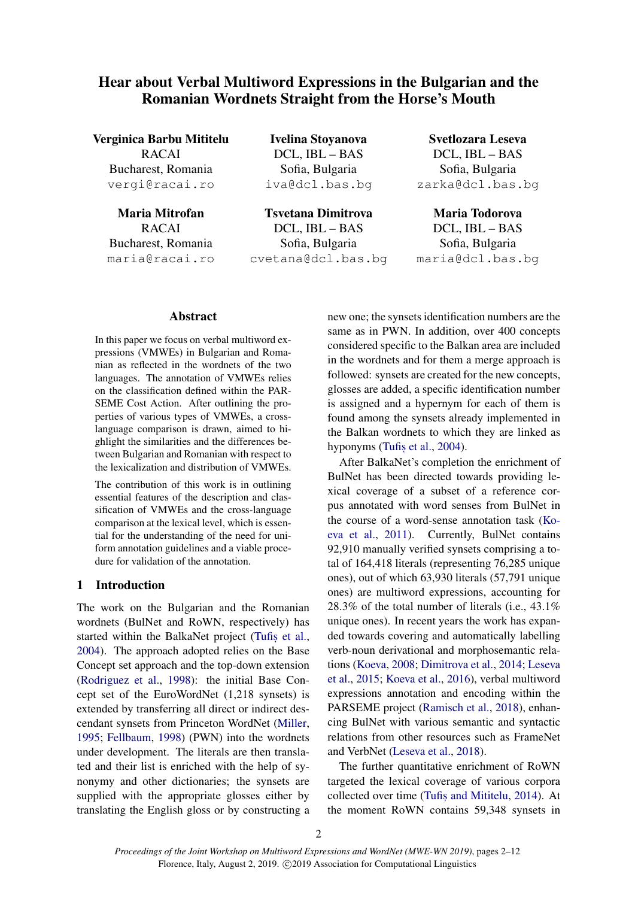# Hear about Verbal Multiword Expressions in the Bulgarian and the Romanian Wordnets Straight from the Horse's Mouth

Verginica Barbu Mititelu RACAI Bucharest, Romania vergi@racai.ro

Maria Mitrofan RACAI Bucharest, Romania maria@racai.ro

Ivelina Stoyanova DCL, IBL – BAS Sofia, Bulgaria iva@dcl.bas.bg

Tsvetana Dimitrova DCL, IBL – BAS Sofia, Bulgaria cvetana@dcl.bas.bg

Svetlozara Leseva DCL, IBL – BAS Sofia, Bulgaria zarka@dcl.bas.bg

Maria Todorova DCL, IBL – BAS Sofia, Bulgaria maria@dcl.bas.bg

#### Abstract

In this paper we focus on verbal multiword expressions (VMWEs) in Bulgarian and Romanian as reflected in the wordnets of the two languages. The annotation of VMWEs relies on the classification defined within the PAR-SEME Cost Action. After outlining the properties of various types of VMWEs, a crosslanguage comparison is drawn, aimed to highlight the similarities and the differences between Bulgarian and Romanian with respect to the lexicalization and distribution of VMWEs.

The contribution of this work is in outlining essential features of the description and classification of VMWEs and the cross-language comparison at the lexical level, which is essential for the understanding of the need for uniform annotation guidelines and a viable procedure for validation of the annotation.

#### <span id="page-0-0"></span>1 Introduction

The work on the Bulgarian and the Romanian wordnets (BulNet and RoWN, respectively) has started within the BalkaNet project (Tufis [et al.,](#page-10-0) [2004\)](#page-10-0). The approach adopted relies on the Base Concept set approach and the top-down extension [\(Rodriguez et al.,](#page-9-0) [1998\)](#page-9-0): the initial Base Concept set of the EuroWordNet (1,218 synsets) is extended by transferring all direct or indirect descendant synsets from Princeton WordNet [\(Miller,](#page-9-1) [1995;](#page-9-1) [Fellbaum,](#page-9-2) [1998\)](#page-9-2) (PWN) into the wordnets under development. The literals are then translated and their list is enriched with the help of synonymy and other dictionaries; the synsets are supplied with the appropriate glosses either by translating the English gloss or by constructing a

new one; the synsets identification numbers are the same as in PWN. In addition, over 400 concepts considered specific to the Balkan area are included in the wordnets and for them a merge approach is followed: synsets are created for the new concepts, glosses are added, a specific identification number is assigned and a hypernym for each of them is found among the synsets already implemented in the Balkan wordnets to which they are linked as hyponyms [\(Tufis](#page-10-0) et al., [2004\)](#page-10-0).

After BalkaNet's completion the enrichment of BulNet has been directed towards providing lexical coverage of a subset of a reference corpus annotated with word senses from BulNet in the course of a word-sense annotation task [\(Ko](#page-9-3)[eva et al.,](#page-9-3) [2011\)](#page-9-3). Currently, BulNet contains 92,910 manually verified synsets comprising a total of 164,418 literals (representing 76,285 unique ones), out of which 63,930 literals (57,791 unique ones) are multiword expressions, accounting for 28.3% of the total number of literals (i.e., 43.1% unique ones). In recent years the work has expanded towards covering and automatically labelling verb-noun derivational and morphosemantic relations [\(Koeva,](#page-9-4) [2008;](#page-9-4) [Dimitrova et al.,](#page-9-5) [2014;](#page-9-5) [Leseva](#page-9-6) [et al.,](#page-9-6) [2015;](#page-9-6) [Koeva et al.,](#page-9-7) [2016\)](#page-9-7), verbal multiword expressions annotation and encoding within the PARSEME project [\(Ramisch et al.,](#page-9-8) [2018\)](#page-9-8), enhancing BulNet with various semantic and syntactic relations from other resources such as FrameNet and VerbNet [\(Leseva et al.,](#page-9-9) [2018\)](#page-9-9).

The further quantitative enrichment of RoWN targeted the lexical coverage of various corpora collected over time (Tufis, [and Mititelu,](#page-10-1) [2014\)](#page-10-1). At the moment RoWN contains 59,348 synsets in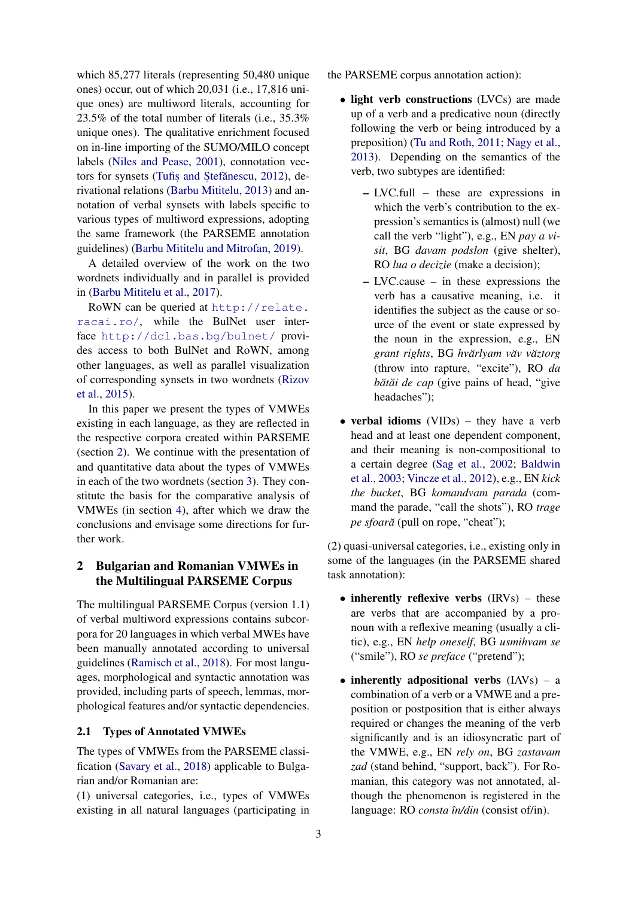which 85,277 literals (representing 50,480 unique ones) occur, out of which 20,031 (i.e., 17,816 unique ones) are multiword literals, accounting for 23.5% of the total number of literals (i.e., 35.3% unique ones). The qualitative enrichment focused on in-line importing of the SUMO/MILO concept labels [\(Niles and Pease,](#page-9-10) [2001\)](#page-9-10), connotation vec-tors for synsets (Tufis and Stefănescu, [2012\)](#page-10-2), derivational relations [\(Barbu Mititelu,](#page-8-0) [2013\)](#page-8-0) and annotation of verbal synsets with labels specific to various types of multiword expressions, adopting the same framework (the PARSEME annotation guidelines) [\(Barbu Mititelu and Mitrofan,](#page-9-11) [2019\)](#page-9-11).

A detailed overview of the work on the two wordnets individually and in parallel is provided in [\(Barbu Mititelu et al.,](#page-9-12) [2017\)](#page-9-12).

RoWN can be queried at [http://relate.](http://relate.racai.ro/) [racai.ro/](http://relate.racai.ro/), while the BulNet user interface <http://dcl.bas.bg/bulnet/> provides access to both BulNet and RoWN, among other languages, as well as parallel visualization of corresponding synsets in two wordnets [\(Rizov](#page-9-13) [et al.,](#page-9-13) [2015\)](#page-9-13).

In this paper we present the types of VMWEs existing in each language, as they are reflected in the respective corpora created within PARSEME (section [2\)](#page-1-0). We continue with the presentation of and quantitative data about the types of VMWEs in each of the two wordnets (section [3\)](#page-2-0). They constitute the basis for the comparative analysis of VMWEs (in section [4\)](#page-5-0), after which we draw the conclusions and envisage some directions for further work.

## <span id="page-1-0"></span>2 Bulgarian and Romanian VMWEs in the Multilingual PARSEME Corpus

The multilingual PARSEME Corpus (version 1.1) of verbal multiword expressions contains subcorpora for 20 languages in which verbal MWEs have been manually annotated according to universal guidelines [\(Ramisch et al.,](#page-9-8) [2018\)](#page-9-8). For most languages, morphological and syntactic annotation was provided, including parts of speech, lemmas, morphological features and/or syntactic dependencies.

## 2.1 Types of Annotated VMWEs

The types of VMWEs from the PARSEME classification [\(Savary et al.,](#page-10-3) [2018\)](#page-10-3) applicable to Bulgarian and/or Romanian are:

(1) universal categories, i.e., types of VMWEs existing in all natural languages (participating in the PARSEME corpus annotation action):

- light verb constructions (LVCs) are made up of a verb and a predicative noun (directly following the verb or being introduced by a preposition) [\(Tu and Roth,](#page-10-4) [2011;](#page-10-4) [Nagy et al.,](#page-9-14) [2013\)](#page-9-14). Depending on the semantics of the verb, two subtypes are identified:
	- LVC.full these are expressions in which the verb's contribution to the expression's semantics is (almost) null (we call the verb "light"), e.g., EN *pay a visit*, BG *davam podslon* (give shelter), RO *lua o decizie* (make a decision);
	- LVC.cause in these expressions the verb has a causative meaning, i.e. it identifies the subject as the cause or source of the event or state expressed by the noun in the expression, e.g., EN  $\alpha$ *grant rights*, BG *hvărlyam văv văztorg* (throw into rapture, "excite"), RO *da bătăi de cap* (give pains of head, "give headaches");
- verbal idioms  $(VIDs)$  they have a verb head and at least one dependent component, and their meaning is non-compositional to a certain degree [\(Sag et al.,](#page-9-15) [2002;](#page-9-15) [Baldwin](#page-8-1) [et al.,](#page-8-1) [2003;](#page-8-1) [Vincze et al.,](#page-10-5) [2012\)](#page-10-5), e.g., EN *kick the bucket*, BG *komandvam parada* (command the parade, "call the shots"), RO *trage pe sfoară* (pull on rope, "cheat");

(2) quasi-universal categories, i.e., existing only in some of the languages (in the PARSEME shared task annotation):

- inherently reflexive verbs  $(IRVs)$  these are verbs that are accompanied by a pronoun with a reflexive meaning (usually a clitic), e.g., EN *help oneself*, BG *usmihvam se* ("smile"), RO *se preface* ("pretend");
- inherently adpositional verbs  $(IAVs) a$ combination of a verb or a VMWE and a preposition or postposition that is either always required or changes the meaning of the verb significantly and is an idiosyncratic part of the VMWE, e.g., EN *rely on*, BG *zastavam zad* (stand behind, "support, back"). For Romanian, this category was not annotated, although the phenomenon is registered in the language: RO *consta ˆın/din* (consist of/in).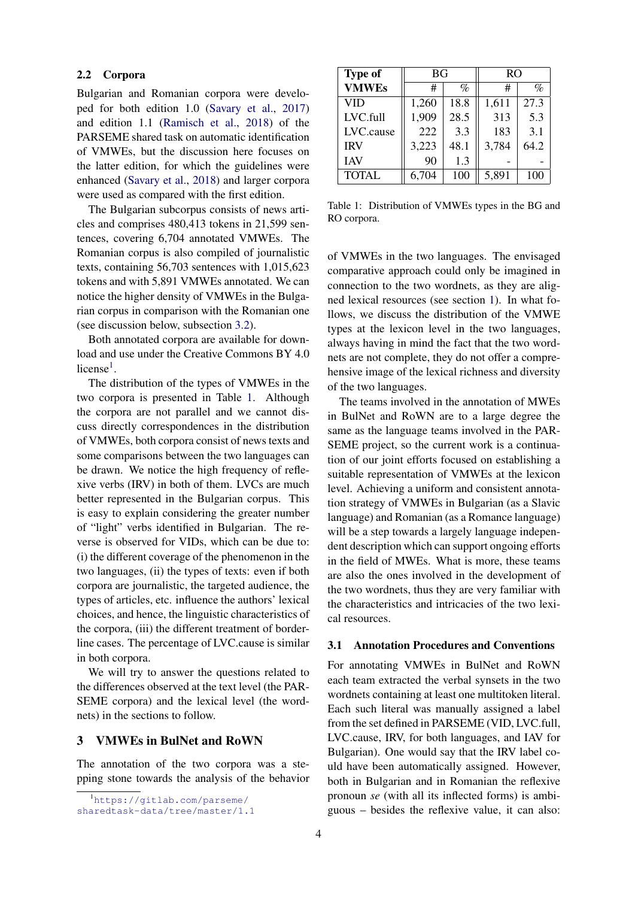#### 2.2 Corpora

Bulgarian and Romanian corpora were developed for both edition 1.0 [\(Savary et al.,](#page-10-6) [2017\)](#page-10-6) and edition 1.1 [\(Ramisch et al.,](#page-9-8) [2018\)](#page-9-8) of the PARSEME shared task on automatic identification of VMWEs, but the discussion here focuses on the latter edition, for which the guidelines were enhanced [\(Savary et al.,](#page-10-3) [2018\)](#page-10-3) and larger corpora were used as compared with the first edition.

The Bulgarian subcorpus consists of news articles and comprises 480,413 tokens in 21,599 sentences, covering 6,704 annotated VMWEs. The Romanian corpus is also compiled of journalistic texts, containing 56,703 sentences with 1,015,623 tokens and with 5,891 VMWEs annotated. We can notice the higher density of VMWEs in the Bulgarian corpus in comparison with the Romanian one (see discussion below, subsection [3.2\)](#page-3-0).

Both annotated corpora are available for download and use under the Creative Commons BY 4.0 license<sup>[1](#page-2-1)</sup>.

The distribution of the types of VMWEs in the two corpora is presented in Table [1.](#page-2-2) Although the corpora are not parallel and we cannot discuss directly correspondences in the distribution of VMWEs, both corpora consist of news texts and some comparisons between the two languages can be drawn. We notice the high frequency of reflexive verbs (IRV) in both of them. LVCs are much better represented in the Bulgarian corpus. This is easy to explain considering the greater number of "light" verbs identified in Bulgarian. The reverse is observed for VIDs, which can be due to: (i) the different coverage of the phenomenon in the two languages, (ii) the types of texts: even if both corpora are journalistic, the targeted audience, the types of articles, etc. influence the authors' lexical choices, and hence, the linguistic characteristics of the corpora, (iii) the different treatment of borderline cases. The percentage of LVC.cause is similar in both corpora.

We will try to answer the questions related to the differences observed at the text level (the PAR-SEME corpora) and the lexical level (the wordnets) in the sections to follow.

#### <span id="page-2-0"></span>3 VMWEs in BulNet and RoWN

The annotation of the two corpora was a stepping stone towards the analysis of the behavior

<span id="page-2-2"></span>

| <b>Type of</b> | <b>BG</b> |      | R <sub>O</sub> |      |  |
|----------------|-----------|------|----------------|------|--|
| <b>VMWEs</b>   | #         | %    | #              | $\%$ |  |
| <b>VID</b>     | 1,260     | 18.8 | 1,611          | 27.3 |  |
| LVC.full       | 1,909     | 28.5 | 313            | 5.3  |  |
| LVC.cause      | 222       | 3.3  | 183            | 3.1  |  |
| <b>IRV</b>     | 3,223     | 48.1 | 3,784          | 64.2 |  |
| <b>IAV</b>     | 90        | 1.3  |                |      |  |
| <b>TOTAL</b>   | 6,704     | 100  | 5,891          | 100  |  |

Table 1: Distribution of VMWEs types in the BG and RO corpora.

of VMWEs in the two languages. The envisaged comparative approach could only be imagined in connection to the two wordnets, as they are aligned lexical resources (see section [1\)](#page-0-0). In what follows, we discuss the distribution of the VMWE types at the lexicon level in the two languages, always having in mind the fact that the two wordnets are not complete, they do not offer a comprehensive image of the lexical richness and diversity of the two languages.

The teams involved in the annotation of MWEs in BulNet and RoWN are to a large degree the same as the language teams involved in the PAR-SEME project, so the current work is a continuation of our joint efforts focused on establishing a suitable representation of VMWEs at the lexicon level. Achieving a uniform and consistent annotation strategy of VMWEs in Bulgarian (as a Slavic language) and Romanian (as a Romance language) will be a step towards a largely language independent description which can support ongoing efforts in the field of MWEs. What is more, these teams are also the ones involved in the development of the two wordnets, thus they are very familiar with the characteristics and intricacies of the two lexical resources.

#### 3.1 Annotation Procedures and Conventions

For annotating VMWEs in BulNet and RoWN each team extracted the verbal synsets in the two wordnets containing at least one multitoken literal. Each such literal was manually assigned a label from the set defined in PARSEME (VID, LVC.full, LVC.cause, IRV, for both languages, and IAV for Bulgarian). One would say that the IRV label could have been automatically assigned. However, both in Bulgarian and in Romanian the reflexive pronoun *se* (with all its inflected forms) is ambiguous – besides the reflexive value, it can also:

<span id="page-2-1"></span><sup>1</sup>[https://gitlab.com/parseme/](https://gitlab.com/parseme/sharedtask-data/tree/master/1.1)

[sharedtask-data/tree/master/1.1](https://gitlab.com/parseme/sharedtask-data/tree/master/1.1)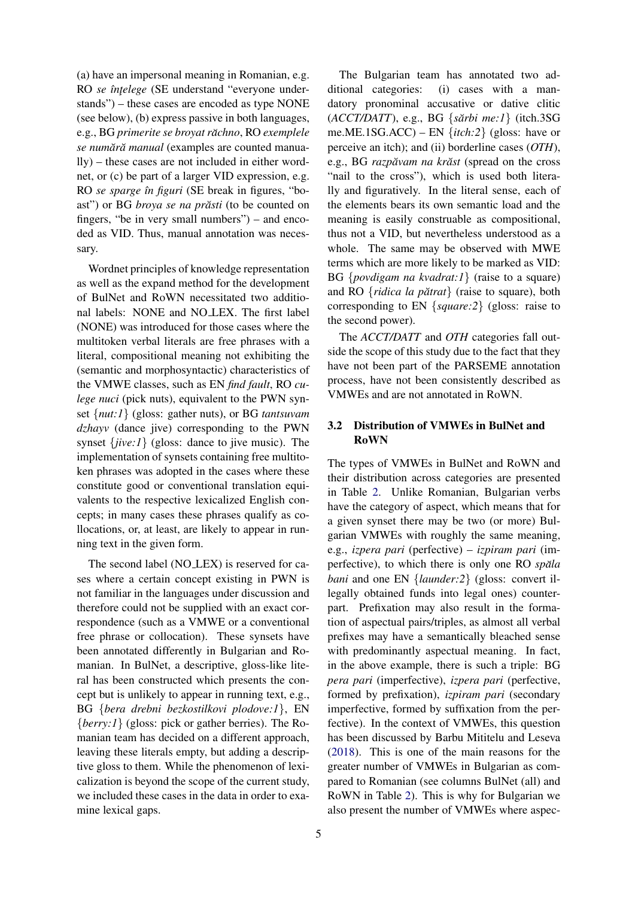(a) have an impersonal meaning in Romanian, e.g. RO *se întelege* (SE understand "everyone understands") – these cases are encoded as type NONE (see below), (b) express passive in both languages, e.g., BG *primerite se broyat rachno ˘* , RO *exemplele se numar˘ a manual ˘* (examples are counted manually) – these cases are not included in either wordnet, or (c) be part of a larger VID expression, e.g. RO *se sparge ˆın figuri* (SE break in figures, "boast") or BG *broya se na prăsti* (to be counted on fingers, "be in very small numbers") – and encoded as VID. Thus, manual annotation was necessary.

Wordnet principles of knowledge representation as well as the expand method for the development of BulNet and RoWN necessitated two additional labels: NONE and NO LEX. The first label (NONE) was introduced for those cases where the multitoken verbal literals are free phrases with a literal, compositional meaning not exhibiting the (semantic and morphosyntactic) characteristics of the VMWE classes, such as EN *find fault*, RO *culege nuci* (pick nuts), equivalent to the PWN synset {*nut:1*} (gloss: gather nuts), or BG *tantsuvam dzhayv* (dance jive) corresponding to the PWN synset {*jive:1*} (gloss: dance to jive music). The implementation of synsets containing free multitoken phrases was adopted in the cases where these constitute good or conventional translation equivalents to the respective lexicalized English concepts; in many cases these phrases qualify as collocations, or, at least, are likely to appear in running text in the given form.

The second label (NO LEX) is reserved for cases where a certain concept existing in PWN is not familiar in the languages under discussion and therefore could not be supplied with an exact correspondence (such as a VMWE or a conventional free phrase or collocation). These synsets have been annotated differently in Bulgarian and Romanian. In BulNet, a descriptive, gloss-like literal has been constructed which presents the concept but is unlikely to appear in running text, e.g., BG {*bera drebni bezkostilkovi plodove:1*}, EN {*berry:1*} (gloss: pick or gather berries). The Romanian team has decided on a different approach, leaving these literals empty, but adding a descriptive gloss to them. While the phenomenon of lexicalization is beyond the scope of the current study, we included these cases in the data in order to examine lexical gaps.

The Bulgarian team has annotated two additional categories: (i) cases with a mandatory pronominal accusative or dative clitic (*ACCT/DATT*), e.g., BG {*sarbi me:1 ˘* } (itch.3SG me.ME.1SG.ACC) – EN {*itch:2*} (gloss: have or perceive an itch); and (ii) borderline cases (*OTH*), e.g., BG *razpăvam na krăst* (spread on the cross "nail to the cross"), which is used both literally and figuratively. In the literal sense, each of the elements bears its own semantic load and the meaning is easily construable as compositional, thus not a VID, but nevertheless understood as a whole. The same may be observed with MWE terms which are more likely to be marked as VID: BG {*povdigam na kvadrat:1*} (raise to a square) and RO {*ridica la pătrat*} (raise to square), both corresponding to EN {*square:2*} (gloss: raise to the second power).

The *ACCT/DATT* and *OTH* categories fall outside the scope of this study due to the fact that they have not been part of the PARSEME annotation process, have not been consistently described as VMWEs and are not annotated in RoWN.

## <span id="page-3-0"></span>3.2 Distribution of VMWEs in BulNet and RoWN

The types of VMWEs in BulNet and RoWN and their distribution across categories are presented in Table [2.](#page-4-0) Unlike Romanian, Bulgarian verbs have the category of aspect, which means that for a given synset there may be two (or more) Bulgarian VMWEs with roughly the same meaning, e.g., *izpera pari* (perfective) – *izpiram pari* (imperfective), to which there is only one RO *spala ˘ bani* and one EN {*launder:2*} (gloss: convert illegally obtained funds into legal ones) counterpart. Prefixation may also result in the formation of aspectual pairs/triples, as almost all verbal prefixes may have a semantically bleached sense with predominantly aspectual meaning. In fact, in the above example, there is such a triple: BG *pera pari* (imperfective), *izpera pari* (perfective, formed by prefixation), *izpiram pari* (secondary imperfective, formed by suffixation from the perfective). In the context of VMWEs, this question has been discussed by Barbu Mititelu and Leseva [\(2018\)](#page-8-2). This is one of the main reasons for the greater number of VMWEs in Bulgarian as compared to Romanian (see columns BulNet (all) and RoWN in Table [2\)](#page-4-0). This is why for Bulgarian we also present the number of VMWEs where aspec-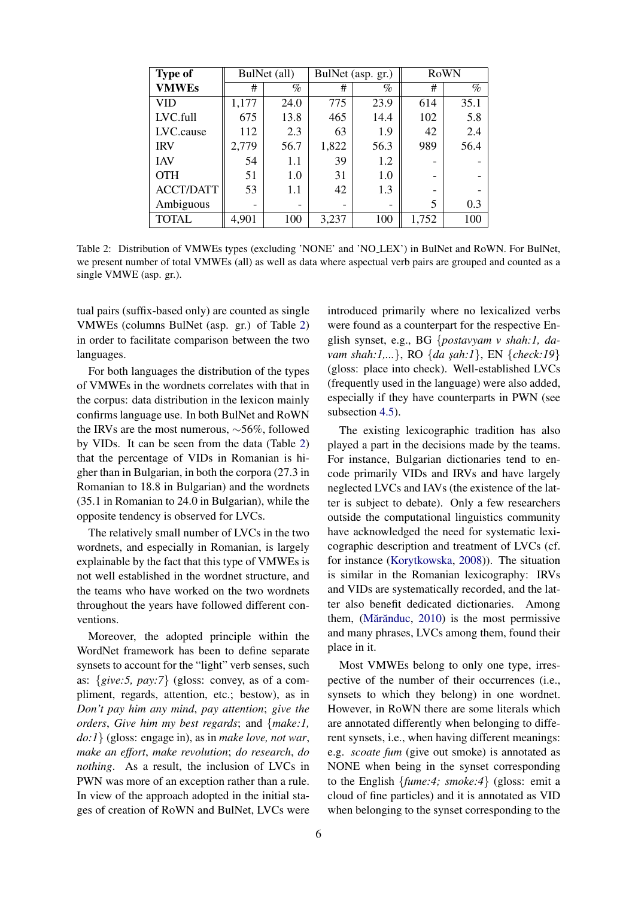<span id="page-4-0"></span>

| <b>Type of</b>   |       | BulNet (all)             | BulNet (asp. gr.) |      | RoWN  |      |
|------------------|-------|--------------------------|-------------------|------|-------|------|
| <b>VMWEs</b>     | #     | $\%$                     | #                 | %    | #     | $\%$ |
| VID              | 1,177 | 24.0                     | 775               | 23.9 | 614   | 35.1 |
| LVC.full         | 675   | 13.8                     | 465               | 14.4 | 102   | 5.8  |
| LVC.cause        | 112   | 2.3                      | 63                | 1.9  | 42    | 2.4  |
| <b>IRV</b>       | 2,779 | 56.7                     | 1,822             | 56.3 | 989   | 56.4 |
| <b>IAV</b>       | 54    | 1.1                      | 39                | 1.2  |       |      |
| <b>OTH</b>       | 51    | 1.0                      | 31                | 1.0  |       |      |
| <b>ACCT/DATT</b> | 53    | 1.1                      | 42                | 1.3  |       |      |
| Ambiguous        | -     | $\overline{\phantom{0}}$ |                   | -    | 5     | 0.3  |
| <b>TOTAL</b>     | 4,901 | 100                      | 3,237             | 100  | 1,752 | 100  |

Table 2: Distribution of VMWEs types (excluding 'NONE' and 'NO LEX') in BulNet and RoWN. For BulNet, we present number of total VMWEs (all) as well as data where aspectual verb pairs are grouped and counted as a single VMWE (asp. gr.).

tual pairs (suffix-based only) are counted as single VMWEs (columns BulNet (asp. gr.) of Table [2\)](#page-4-0) in order to facilitate comparison between the two languages.

For both languages the distribution of the types of VMWEs in the wordnets correlates with that in the corpus: data distribution in the lexicon mainly confirms language use. In both BulNet and RoWN the IRVs are the most numerous, ∼56%, followed by VIDs. It can be seen from the data (Table [2\)](#page-4-0) that the percentage of VIDs in Romanian is higher than in Bulgarian, in both the corpora (27.3 in Romanian to 18.8 in Bulgarian) and the wordnets (35.1 in Romanian to 24.0 in Bulgarian), while the opposite tendency is observed for LVCs.

The relatively small number of LVCs in the two wordnets, and especially in Romanian, is largely explainable by the fact that this type of VMWEs is not well established in the wordnet structure, and the teams who have worked on the two wordnets throughout the years have followed different conventions.

Moreover, the adopted principle within the WordNet framework has been to define separate synsets to account for the "light" verb senses, such as: {*give:5, pay:7*} (gloss: convey, as of a compliment, regards, attention, etc.; bestow), as in *Don't pay him any mind*, *pay attention*; *give the orders*, *Give him my best regards*; and {*make:1, do:1*} (gloss: engage in), as in *make love, not war*, *make an effort*, *make revolution*; *do research*, *do nothing*. As a result, the inclusion of LVCs in PWN was more of an exception rather than a rule. In view of the approach adopted in the initial stages of creation of RoWN and BulNet, LVCs were introduced primarily where no lexicalized verbs were found as a counterpart for the respective English synset, e.g., BG {*postavyam v shah:1, davam shah:1,...*}, RO {*da s¸ah:1*}, EN {*check:19*} (gloss: place into check). Well-established LVCs (frequently used in the language) were also added, especially if they have counterparts in PWN (see subsection [4.5\)](#page-7-0).

The existing lexicographic tradition has also played a part in the decisions made by the teams. For instance, Bulgarian dictionaries tend to encode primarily VIDs and IRVs and have largely neglected LVCs and IAVs (the existence of the latter is subject to debate). Only a few researchers outside the computational linguistics community have acknowledged the need for systematic lexicographic description and treatment of LVCs (cf. for instance [\(Korytkowska,](#page-9-16) [2008\)](#page-9-16)). The situation is similar in the Romanian lexicography: IRVs and VIDs are systematically recorded, and the latter also benefit dedicated dictionaries. Among them, (Mărănduc,  $2010$ ) is the most permissive and many phrases, LVCs among them, found their place in it.

Most VMWEs belong to only one type, irrespective of the number of their occurrences (i.e., synsets to which they belong) in one wordnet. However, in RoWN there are some literals which are annotated differently when belonging to different synsets, i.e., when having different meanings: e.g. *scoate fum* (give out smoke) is annotated as NONE when being in the synset corresponding to the English {*fume:4; smoke:4*} (gloss: emit a cloud of fine particles) and it is annotated as VID when belonging to the synset corresponding to the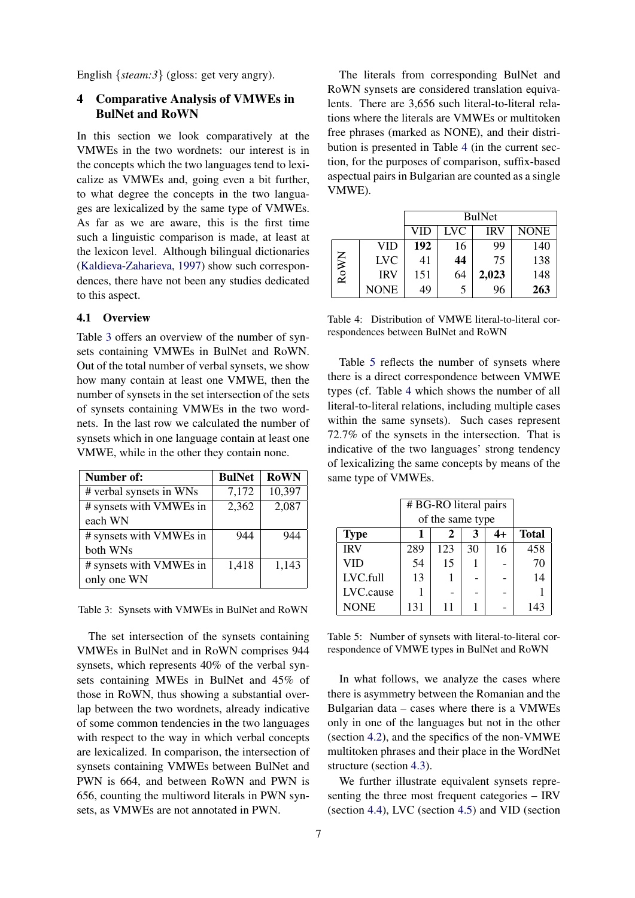English {*steam:3*} (gloss: get very angry).

## <span id="page-5-0"></span>4 Comparative Analysis of VMWEs in BulNet and RoWN

In this section we look comparatively at the VMWEs in the two wordnets: our interest is in the concepts which the two languages tend to lexicalize as VMWEs and, going even a bit further, to what degree the concepts in the two languages are lexicalized by the same type of VMWEs. As far as we are aware, this is the first time such a linguistic comparison is made, at least at the lexicon level. Although bilingual dictionaries [\(Kaldieva-Zaharieva,](#page-9-18) [1997\)](#page-9-18) show such correspondences, there have not been any studies dedicated to this aspect.

## 4.1 Overview

Table [3](#page-5-1) offers an overview of the number of synsets containing VMWEs in BulNet and RoWN. Out of the total number of verbal synsets, we show how many contain at least one VMWE, then the number of synsets in the set intersection of the sets of synsets containing VMWEs in the two wordnets. In the last row we calculated the number of synsets which in one language contain at least one VMWE, while in the other they contain none.

<span id="page-5-1"></span>

| Number of:              | <b>BulNet</b> | <b>RoWN</b> |
|-------------------------|---------------|-------------|
| # verbal synsets in WNs | 7,172         | 10,397      |
| # synsets with VMWEs in | 2,362         | 2,087       |
| each WN                 |               |             |
| # synsets with VMWEs in | 944           | 944         |
| both WNs                |               |             |
| # synsets with VMWEs in | 1,418         | 1,143       |
| only one WN             |               |             |

Table 3: Synsets with VMWEs in BulNet and RoWN

The set intersection of the synsets containing VMWEs in BulNet and in RoWN comprises 944 synsets, which represents 40% of the verbal synsets containing MWEs in BulNet and 45% of those in RoWN, thus showing a substantial overlap between the two wordnets, already indicative of some common tendencies in the two languages with respect to the way in which verbal concepts are lexicalized. In comparison, the intersection of synsets containing VMWEs between BulNet and PWN is 664, and between RoWN and PWN is 656, counting the multiword literals in PWN synsets, as VMWEs are not annotated in PWN.

The literals from corresponding BulNet and RoWN synsets are considered translation equivalents. There are 3,656 such literal-to-literal relations where the literals are VMWEs or multitoken free phrases (marked as NONE), and their distribution is presented in Table [4](#page-5-2) (in the current section, for the purposes of comparison, suffix-based aspectual pairs in Bulgarian are counted as a single VMWE).

<span id="page-5-2"></span>

|      |            | <b>BulNet</b> |     |       |             |
|------|------------|---------------|-----|-------|-------------|
|      |            | VID           | LVC | IRV   | <b>NONE</b> |
| RoWN | VID        | 192           | 16  | 99    | 140         |
|      | <b>LVC</b> | 41            | 44  | 75    | 138         |
|      | <b>IRV</b> | 151           | 64  | 2,023 | 148         |
|      | NONE       | 49            | 5   | 96    | 263         |

Table 4: Distribution of VMWE literal-to-literal correspondences between BulNet and RoWN

Table [5](#page-5-3) reflects the number of synsets where there is a direct correspondence between VMWE types (cf. Table [4](#page-5-2) which shows the number of all literal-to-literal relations, including multiple cases within the same synsets). Such cases represent 72.7% of the synsets in the intersection. That is indicative of the two languages' strong tendency of lexicalizing the same concepts by means of the same type of VMWEs.

<span id="page-5-3"></span>

|             | # BG-RO literal pairs |     |    |    |              |
|-------------|-----------------------|-----|----|----|--------------|
|             | of the same type      |     |    |    |              |
| <b>Type</b> |                       |     |    | 4+ | <b>Total</b> |
| <b>IRV</b>  | 289                   | 123 | 30 | 16 | 458          |
| VID         | 54                    | 15  |    |    | 70           |
| LVC.full    | 13                    |     |    |    | 14           |
| LVC.cause   |                       |     |    |    |              |
| <b>NONE</b> | 131                   | 11  |    |    | 143          |

Table 5: Number of synsets with literal-to-literal correspondence of VMWE types in BulNet and RoWN

In what follows, we analyze the cases where there is asymmetry between the Romanian and the Bulgarian data – cases where there is a VMWEs only in one of the languages but not in the other (section [4.2\)](#page-6-0), and the specifics of the non-VMWE multitoken phrases and their place in the WordNet structure (section [4.3\)](#page-6-1).

We further illustrate equivalent synsets representing the three most frequent categories – IRV (section [4.4\)](#page-7-1), LVC (section [4.5\)](#page-7-0) and VID (section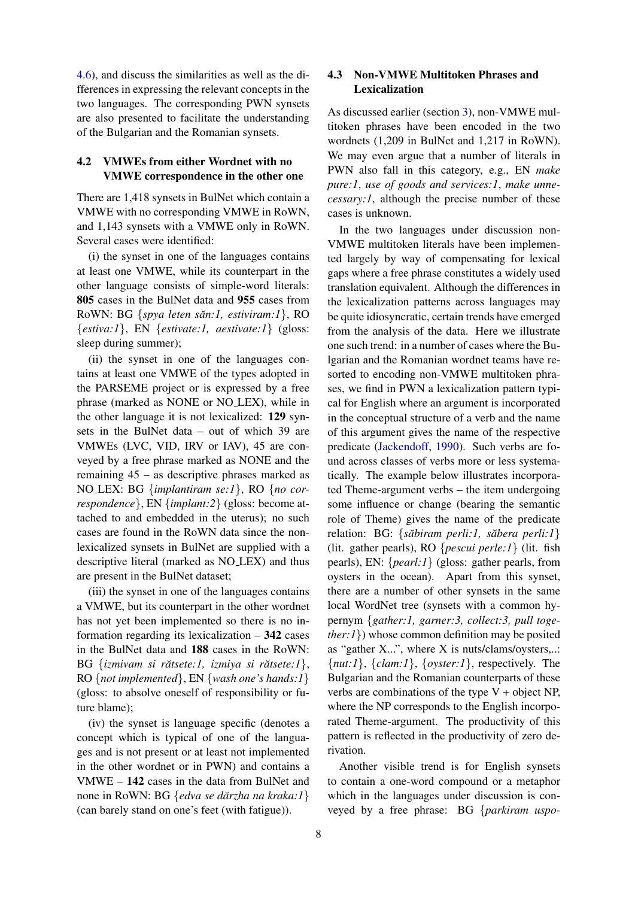[4.6\)](#page-7-2), and discuss the similarities as well as the differences in expressing the relevant concepts in the two languages. The corresponding PWN synsets are also presented to facilitate the understanding of the Bulgarian and the Romanian synsets.

#### <span id="page-6-0"></span>4.2 VMWEs from either Wordnet with no VMWE correspondence in the other one

There are 1,418 synsets in BulNet which contain a VMWE with no corresponding VMWE in RoWN, and 1,143 synsets with a VMWE only in RoWN. Several cases were identified:

(i) the synset in one of the languages contains at least one VMWE, while its counterpart in the other language consists of simple-word literals: 805 cases in the BulNet data and 955 cases from RoWN: BG {*spya leten săn:1, estiviram:1*}, RO {*estiva:1*}, EN {*estivate:1, aestivate:1*} (gloss: sleep during summer);

(ii) the synset in one of the languages contains at least one VMWE of the types adopted in the PARSEME project or is expressed by a free phrase (marked as NONE or NO LEX), while in the other language it is not lexicalized: 129 synsets in the BulNet data – out of which 39 are VMWEs (LVC, VID, IRV or IAV), 45 are conveyed by a free phrase marked as NONE and the remaining 45 – as descriptive phrases marked as NO LEX: BG {*implantiram se:1*}, RO {*no correspondence*}, EN {*implant:2*} (gloss: become attached to and embedded in the uterus); no such cases are found in the RoWN data since the nonlexicalized synsets in BulNet are supplied with a descriptive literal (marked as NO LEX) and thus are present in the BulNet dataset;

(iii) the synset in one of the languages contains a VMWE, but its counterpart in the other wordnet has not yet been implemented so there is no information regarding its lexicalization  $-342$  cases in the BulNet data and 188 cases in the RoWN: BG {*izmivam si rătsete:1, izmiya si rătsete:1*}, RO {*not implemented*}, EN {*wash one's hands:1*} (gloss: to absolve oneself of responsibility or future blame);

(iv) the synset is language specific (denotes a concept which is typical of one of the languages and is not present or at least not implemented in the other wordnet or in PWN) and contains a VMWE – 142 cases in the data from BulNet and none in RoWN: BG {*edva se dărzha na kraka:1* } (can barely stand on one's feet (with fatigue)).

## <span id="page-6-1"></span>4.3 Non-VMWE Multitoken Phrases and Lexicalization

As discussed earlier (section [3\)](#page-2-0), non-VMWE multitoken phrases have been encoded in the two wordnets (1,209 in BulNet and 1,217 in RoWN). We may even argue that a number of literals in PWN also fall in this category, e.g., EN *make pure:1*, *use of goods and services:1*, *make unnecessary:1*, although the precise number of these cases is unknown.

In the two languages under discussion non-VMWE multitoken literals have been implemented largely by way of compensating for lexical gaps where a free phrase constitutes a widely used translation equivalent. Although the differences in the lexicalization patterns across languages may be quite idiosyncratic, certain trends have emerged from the analysis of the data. Here we illustrate one such trend: in a number of cases where the Bulgarian and the Romanian wordnet teams have resorted to encoding non-VMWE multitoken phrases, we find in PWN a lexicalization pattern typical for English where an argument is incorporated in the conceptual structure of a verb and the name of this argument gives the name of the respective predicate [\(Jackendoff,](#page-9-19) [1990\)](#page-9-19). Such verbs are found across classes of verbs more or less systematically. The example below illustrates incorporated Theme-argument verbs – the item undergoing some influence or change (bearing the semantic role of Theme) gives the name of the predicate relation: BG: {săbiram perli:1, săbera perli:1} (lit. gather pearls), RO {*pescui perle:1*} (lit. fish pearls), EN: {*pearl:1*} (gloss: gather pearls, from oysters in the ocean). Apart from this synset, there are a number of other synsets in the same local WordNet tree (synsets with a common hypernym {*gather:1, garner:3, collect:3, pull together:1*}) whose common definition may be posited as "gather X...", where X is nuts/clams/oysters,..: {*nut:1*}, {*clam:1*}, {*oyster:1*}, respectively. The Bulgarian and the Romanian counterparts of these verbs are combinations of the type  $V +$  object NP, where the NP corresponds to the English incorporated Theme-argument. The productivity of this pattern is reflected in the productivity of zero derivation.

Another visible trend is for English synsets to contain a one-word compound or a metaphor which in the languages under discussion is conveyed by a free phrase: BG {*parkiram uspo-*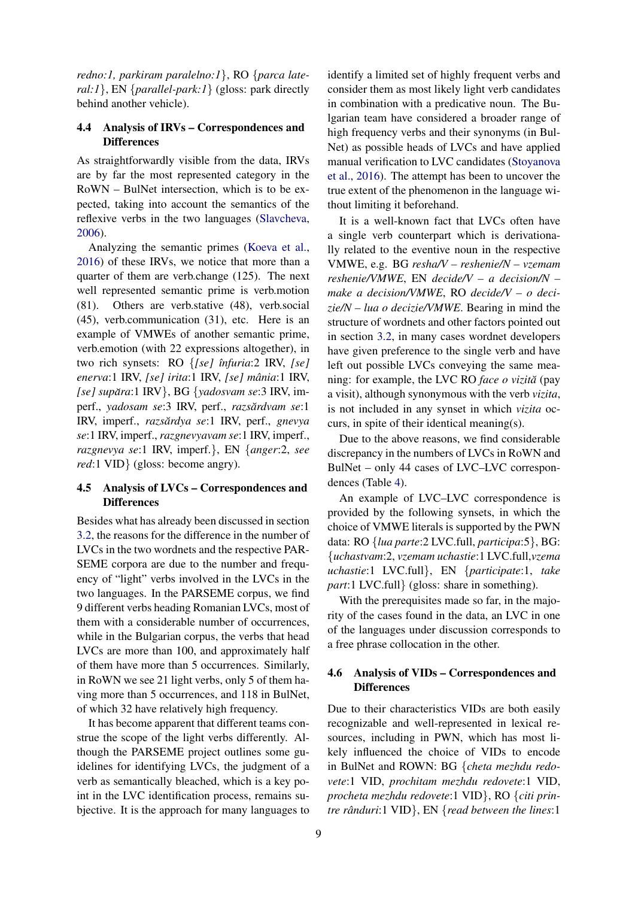*redno:1, parkiram paralelno:1*}, RO {*parca lateral:1*}, EN {*parallel-park:1*} (gloss: park directly behind another vehicle).

## <span id="page-7-1"></span>4.4 Analysis of IRVs – Correspondences and **Differences**

As straightforwardly visible from the data, IRVs are by far the most represented category in the RoWN – BulNet intersection, which is to be expected, taking into account the semantics of the reflexive verbs in the two languages [\(Slavcheva,](#page-10-7) [2006\)](#page-10-7).

Analyzing the semantic primes [\(Koeva et al.,](#page-9-7) [2016\)](#page-9-7) of these IRVs, we notice that more than a quarter of them are verb.change (125). The next well represented semantic prime is verb.motion (81). Others are verb.stative (48), verb.social (45), verb.communication (31), etc. Here is an example of VMWEs of another semantic prime, verb.emotion (with 22 expressions altogether), in two rich synsets: RO {*[se] ˆınfuria*:2 IRV, *[se] enerva*:1 IRV, *[se] irita*:1 IRV, *[se] mania ˆ* :1 IRV, *[se] supara ˘* :1 IRV}, BG {*yadosvam se*:3 IRV, imperf., *yadosam se*:3 IRV, perf., *razsărdvam se*:1 IRV, *imperf., razsărdya se*:1 IRV, perf., *gnevya se*:1 IRV, imperf., *razgnevyavam se*:1 IRV, imperf., *razgnevya se*:1 IRV, imperf.}, EN {*anger*:2, *see red*:1 VID} (gloss: become angry).

## <span id="page-7-0"></span>4.5 Analysis of LVCs – Correspondences and **Differences**

Besides what has already been discussed in section [3.2,](#page-3-0) the reasons for the difference in the number of LVCs in the two wordnets and the respective PAR-SEME corpora are due to the number and frequency of "light" verbs involved in the LVCs in the two languages. In the PARSEME corpus, we find 9 different verbs heading Romanian LVCs, most of them with a considerable number of occurrences, while in the Bulgarian corpus, the verbs that head LVCs are more than 100, and approximately half of them have more than 5 occurrences. Similarly, in RoWN we see 21 light verbs, only 5 of them having more than 5 occurrences, and 118 in BulNet, of which 32 have relatively high frequency.

It has become apparent that different teams construe the scope of the light verbs differently. Although the PARSEME project outlines some guidelines for identifying LVCs, the judgment of a verb as semantically bleached, which is a key point in the LVC identification process, remains subjective. It is the approach for many languages to

identify a limited set of highly frequent verbs and consider them as most likely light verb candidates in combination with a predicative noun. The Bulgarian team have considered a broader range of high frequency verbs and their synonyms (in Bul-Net) as possible heads of LVCs and have applied manual verification to LVC candidates [\(Stoyanova](#page-10-8) [et al.,](#page-10-8) [2016\)](#page-10-8). The attempt has been to uncover the true extent of the phenomenon in the language without limiting it beforehand.

It is a well-known fact that LVCs often have a single verb counterpart which is derivationally related to the eventive noun in the respective VMWE, e.g. BG *resha/V – reshenie/N – vzemam reshenie/VMWE*, EN *decide/V – a decision/N – make a decision/VMWE*, RO *decide/V – o decizie/N – lua o decizie/VMWE*. Bearing in mind the structure of wordnets and other factors pointed out in section [3.2,](#page-3-0) in many cases wordnet developers have given preference to the single verb and have left out possible LVCs conveying the same meaning: for example, the LVC RO *face o vizită* (pay a visit), although synonymous with the verb *vizita*, is not included in any synset in which *vizita* occurs, in spite of their identical meaning(s).

Due to the above reasons, we find considerable discrepancy in the numbers of LVCs in RoWN and BulNet – only 44 cases of LVC–LVC correspondences (Table [4\)](#page-5-2).

An example of LVC–LVC correspondence is provided by the following synsets, in which the choice of VMWE literals is supported by the PWN data: RO {*lua parte*:2 LVC.full, *participa*:5}, BG: {*uchastvam*:2, *vzemam uchastie*:1 LVC.full,*vzema uchastie*:1 LVC.full}, EN {*participate*:1, *take part*:1 LVC.full} (gloss: share in something).

With the prerequisites made so far, in the majority of the cases found in the data, an LVC in one of the languages under discussion corresponds to a free phrase collocation in the other.

### <span id="page-7-2"></span>4.6 Analysis of VIDs – Correspondences and **Differences**

Due to their characteristics VIDs are both easily recognizable and well-represented in lexical resources, including in PWN, which has most likely influenced the choice of VIDs to encode in BulNet and ROWN: BG {*cheta mezhdu redovete*:1 VID, *prochitam mezhdu redovete*:1 VID, *procheta mezhdu redovete*:1 VID}, RO {*citi printre rânduri*:1 VID}, EN {*read between the lines*:1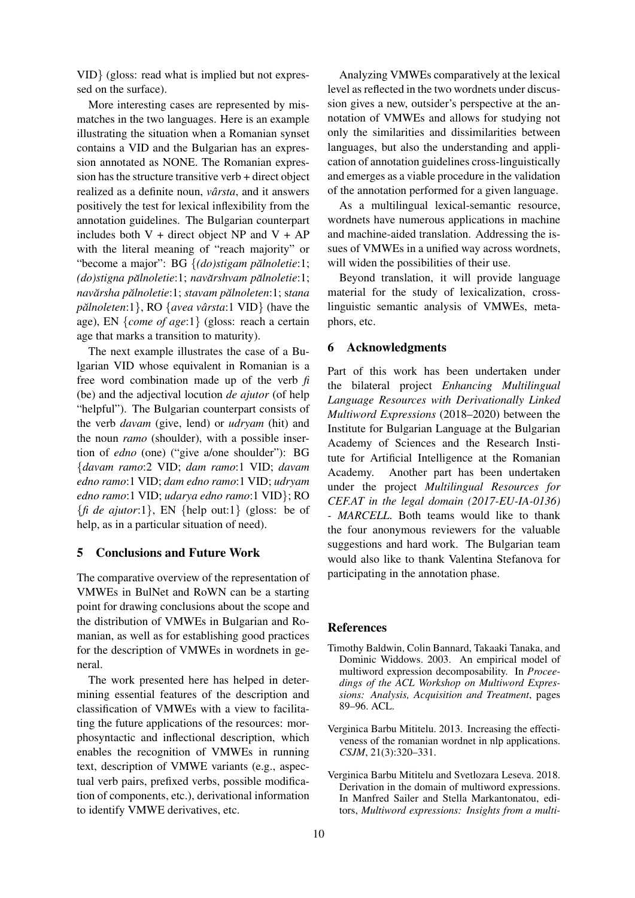VID} (gloss: read what is implied but not expressed on the surface).

More interesting cases are represented by mismatches in the two languages. Here is an example illustrating the situation when a Romanian synset contains a VID and the Bulgarian has an expression annotated as NONE. The Romanian expression has the structure transitive verb + direct object realized as a definite noun, *vârsta*, and it answers positively the test for lexical inflexibility from the annotation guidelines. The Bulgarian counterpart includes both  $V +$  direct object NP and  $V + AP$ with the literal meaning of "reach majority" or "become a major": BG {(do)stigam pălnoletie:1; *(do)stigna palnoletie ˘* :1; *navarshvam p ˘ alnoletie ˘* :1; *navarsha p ˘ alnoletie ˘* :1; *stavam palnoleten ˘* :1; s*tana pălnoleten*:1}, RO {*avea vârsta*:1 VID} (have the age), EN {*come of age*:1} (gloss: reach a certain age that marks a transition to maturity).

The next example illustrates the case of a Bulgarian VID whose equivalent in Romanian is a free word combination made up of the verb *fi* (be) and the adjectival locution *de ajutor* (of help "helpful"). The Bulgarian counterpart consists of the verb *davam* (give, lend) or *udryam* (hit) and the noun *ramo* (shoulder), with a possible insertion of *edno* (one) ("give a/one shoulder"): BG {*davam ramo*:2 VID; *dam ramo*:1 VID; *davam edno ramo*:1 VID; *dam edno ramo*:1 VID; *udryam edno ramo*:1 VID; *udarya edno ramo*:1 VID}; RO  $\{$ *fi de ajutor*:1 $\}$ , EN  $\{$ help out:1 $\}$  (gloss: be of help, as in a particular situation of need).

### 5 Conclusions and Future Work

The comparative overview of the representation of VMWEs in BulNet and RoWN can be a starting point for drawing conclusions about the scope and the distribution of VMWEs in Bulgarian and Romanian, as well as for establishing good practices for the description of VMWEs in wordnets in general.

The work presented here has helped in determining essential features of the description and classification of VMWEs with a view to facilitating the future applications of the resources: morphosyntactic and inflectional description, which enables the recognition of VMWEs in running text, description of VMWE variants (e.g., aspectual verb pairs, prefixed verbs, possible modification of components, etc.), derivational information to identify VMWE derivatives, etc.

Analyzing VMWEs comparatively at the lexical level as reflected in the two wordnets under discussion gives a new, outsider's perspective at the annotation of VMWEs and allows for studying not only the similarities and dissimilarities between languages, but also the understanding and application of annotation guidelines cross-linguistically and emerges as a viable procedure in the validation of the annotation performed for a given language.

As a multilingual lexical-semantic resource, wordnets have numerous applications in machine and machine-aided translation. Addressing the issues of VMWEs in a unified way across wordnets, will widen the possibilities of their use.

Beyond translation, it will provide language material for the study of lexicalization, crosslinguistic semantic analysis of VMWEs, metaphors, etc.

## 6 Acknowledgments

Part of this work has been undertaken under the bilateral project *Enhancing Multilingual Language Resources with Derivationally Linked Multiword Expressions* (2018–2020) between the Institute for Bulgarian Language at the Bulgarian Academy of Sciences and the Research Institute for Artificial Intelligence at the Romanian Academy. Another part has been undertaken under the project *Multilingual Resources for CEF.AT in the legal domain (2017-EU-IA-0136) - MARCELL*. Both teams would like to thank the four anonymous reviewers for the valuable suggestions and hard work. The Bulgarian team would also like to thank Valentina Stefanova for participating in the annotation phase.

#### References

- <span id="page-8-1"></span>Timothy Baldwin, Colin Bannard, Takaaki Tanaka, and Dominic Widdows. 2003. An empirical model of multiword expression decomposability. In *Proceedings of the ACL Workshop on Multiword Expressions: Analysis, Acquisition and Treatment*, pages 89–96. ACL.
- <span id="page-8-0"></span>Verginica Barbu Mititelu. 2013. Increasing the effectiveness of the romanian wordnet in nlp applications. *CSJM*, 21(3):320–331.
- <span id="page-8-2"></span>Verginica Barbu Mititelu and Svetlozara Leseva. 2018. Derivation in the domain of multiword expressions. In Manfred Sailer and Stella Markantonatou, editors, *Multiword expressions: Insights from a multi-*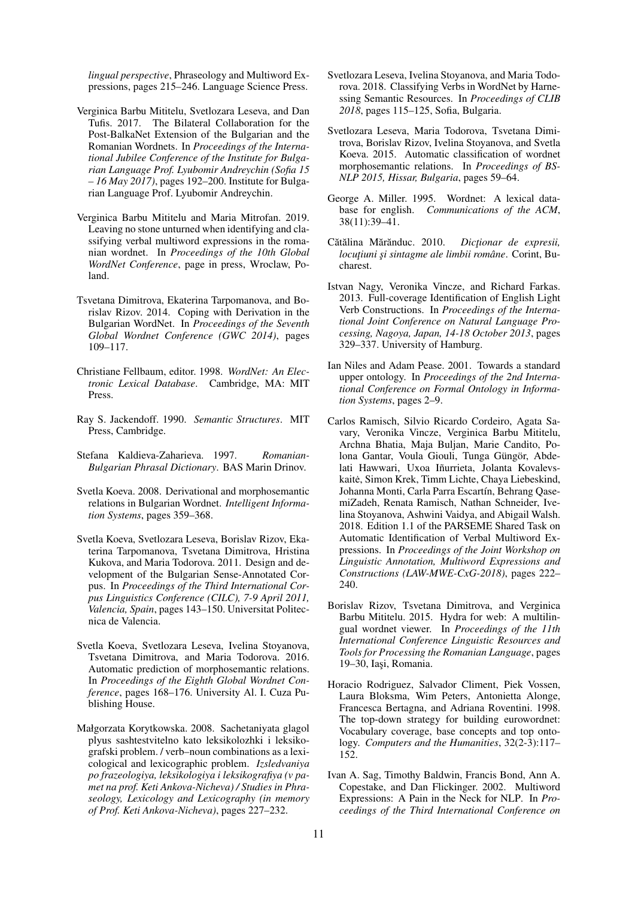*lingual perspective*, Phraseology and Multiword Expressions, pages 215–246. Language Science Press.

- <span id="page-9-12"></span>Verginica Barbu Mititelu, Svetlozara Leseva, and Dan Tufis. 2017. The Bilateral Collaboration for the Post-BalkaNet Extension of the Bulgarian and the Romanian Wordnets. In *Proceedings of the International Jubilee Conference of the Institute for Bulgarian Language Prof. Lyubomir Andreychin (Sofia 15 – 16 May 2017)*, pages 192–200. Institute for Bulgarian Language Prof. Lyubomir Andreychin.
- <span id="page-9-11"></span>Verginica Barbu Mititelu and Maria Mitrofan. 2019. Leaving no stone unturned when identifying and classifying verbal multiword expressions in the romanian wordnet. In *Proceedings of the 10th Global WordNet Conference*, page in press, Wroclaw, Poland.
- <span id="page-9-5"></span>Tsvetana Dimitrova, Ekaterina Tarpomanova, and Borislav Rizov. 2014. Coping with Derivation in the Bulgarian WordNet. In *Proceedings of the Seventh Global Wordnet Conference (GWC 2014)*, pages 109–117.
- <span id="page-9-2"></span>Christiane Fellbaum, editor. 1998. *WordNet: An Electronic Lexical Database*. Cambridge, MA: MIT **Press**.
- <span id="page-9-19"></span>Ray S. Jackendoff. 1990. *Semantic Structures*. MIT Press, Cambridge.
- <span id="page-9-18"></span>Stefana Kaldieva-Zaharieva. 1997. *Romanian-Bulgarian Phrasal Dictionary*. BAS Marin Drinov.
- <span id="page-9-4"></span>Svetla Koeva. 2008. Derivational and morphosemantic relations in Bulgarian Wordnet. *Intelligent Information Systems*, pages 359–368.
- <span id="page-9-3"></span>Svetla Koeva, Svetlozara Leseva, Borislav Rizov, Ekaterina Tarpomanova, Tsvetana Dimitrova, Hristina Kukova, and Maria Todorova. 2011. Design and development of the Bulgarian Sense-Annotated Corpus. In *Proceedings of the Third International Corpus Linguistics Conference (CILC), 7-9 April 2011, Valencia, Spain*, pages 143–150. Universitat Politecnica de Valencia.
- <span id="page-9-7"></span>Svetla Koeva, Svetlozara Leseva, Ivelina Stoyanova, Tsvetana Dimitrova, and Maria Todorova. 2016. Automatic prediction of morphosemantic relations. In *Proceedings of the Eighth Global Wordnet Conference*, pages 168–176. University Al. I. Cuza Publishing House.
- <span id="page-9-16"></span>Małgorzata Korytkowska. 2008. Sachetaniyata glagol plyus sashtestvitelno kato leksikolozhki i leksikografski problem. / verb–noun combinations as a lexicological and lexicographic problem. *Izsledvaniya po frazeologiya, leksikologiya i leksikografiya (v pamet na prof. Keti Ankova-Nicheva) / Studies in Phraseology, Lexicology and Lexicography (in memory of Prof. Keti Ankova-Nicheva)*, pages 227–232.
- <span id="page-9-9"></span>Svetlozara Leseva, Ivelina Stoyanova, and Maria Todorova. 2018. Classifying Verbs in WordNet by Harnessing Semantic Resources. In *Proceedings of CLIB 2018*, pages 115–125, Sofia, Bulgaria.
- <span id="page-9-6"></span>Svetlozara Leseva, Maria Todorova, Tsvetana Dimitrova, Borislav Rizov, Ivelina Stoyanova, and Svetla Koeva. 2015. Automatic classification of wordnet morphosemantic relations. In *Proceedings of BS-NLP 2015, Hissar, Bulgaria*, pages 59–64.
- <span id="page-9-1"></span>George A. Miller. 1995. Wordnet: A lexical database for english. *Communications of the ACM*, 38(11):39–41.
- <span id="page-9-17"></span>Cătălina Mărănduc. 2010. *Dictionar de expresii*, *locutiuni și sintagme ale limbii române*. Corint, Bucharest.
- <span id="page-9-14"></span>Istvan Nagy, Veronika Vincze, and Richard Farkas. 2013. Full-coverage Identification of English Light Verb Constructions. In *Proceedings of the International Joint Conference on Natural Language Processing, Nagoya, Japan, 14-18 October 2013*, pages 329–337. University of Hamburg.
- <span id="page-9-10"></span>Ian Niles and Adam Pease. 2001. Towards a standard upper ontology. In *Proceedings of the 2nd International Conference on Formal Ontology in Information Systems*, pages 2–9.
- <span id="page-9-8"></span>Carlos Ramisch, Silvio Ricardo Cordeiro, Agata Savary, Veronika Vincze, Verginica Barbu Mititelu, Archna Bhatia, Maja Buljan, Marie Candito, Polona Gantar, Voula Giouli, Tunga Güngör, Abdelati Hawwari, Uxoa Iñurrieta, Jolanta Kovalevskaitė, Simon Krek, Timm Lichte, Chaya Liebeskind, Johanna Monti, Carla Parra Escartín, Behrang QasemiZadeh, Renata Ramisch, Nathan Schneider, Ivelina Stoyanova, Ashwini Vaidya, and Abigail Walsh. 2018. Edition 1.1 of the PARSEME Shared Task on Automatic Identification of Verbal Multiword Expressions. In *Proceedings of the Joint Workshop on Linguistic Annotation, Multiword Expressions and Constructions (LAW-MWE-CxG-2018)*, pages 222– 240.
- <span id="page-9-13"></span>Borislav Rizov, Tsvetana Dimitrova, and Verginica Barbu Mititelu. 2015. Hydra for web: A multilingual wordnet viewer. In *Proceedings of the 11th International Conference Linguistic Resources and Tools for Processing the Romanian Language*, pages 19-30, Iasi, Romania.
- <span id="page-9-0"></span>Horacio Rodriguez, Salvador Climent, Piek Vossen, Laura Bloksma, Wim Peters, Antonietta Alonge, Francesca Bertagna, and Adriana Roventini. 1998. The top-down strategy for building eurowordnet: Vocabulary coverage, base concepts and top ontology. *Computers and the Humanities*, 32(2-3):117– 152.
- <span id="page-9-15"></span>Ivan A. Sag, Timothy Baldwin, Francis Bond, Ann A. Copestake, and Dan Flickinger. 2002. Multiword Expressions: A Pain in the Neck for NLP. In *Proceedings of the Third International Conference on*